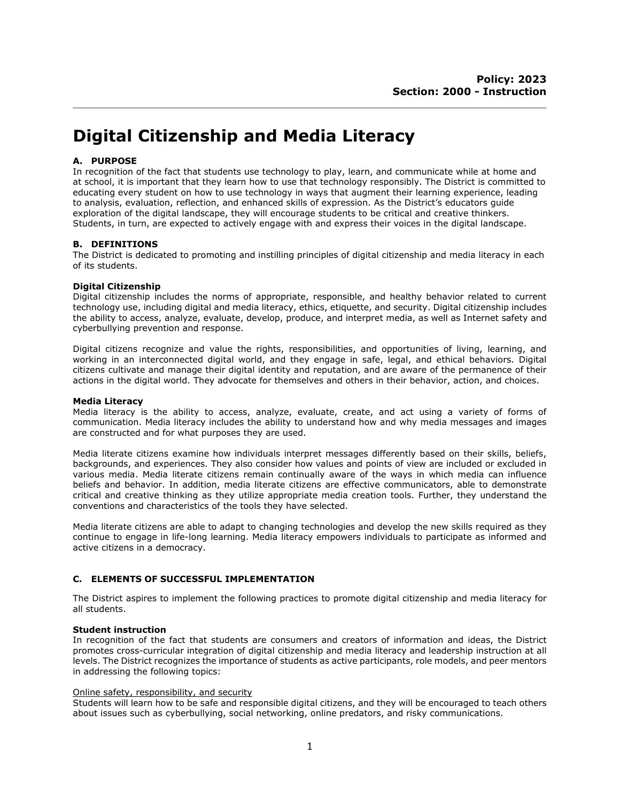# **Digital Citizenship and Media Literacy**

## **A. PURPOSE**

In recognition of the fact that students use technology to play, learn, and communicate while at home and at school, it is important that they learn how to use that technology responsibly. The District is committed to educating every student on how to use technology in ways that augment their learning experience, leading to analysis, evaluation, reflection, and enhanced skills of expression. As the District's educators guide exploration of the digital landscape, they will encourage students to be critical and creative thinkers. Students, in turn, are expected to actively engage with and express their voices in the digital landscape.

## **B. DEFINITIONS**

The District is dedicated to promoting and instilling principles of digital citizenship and media literacy in each of its students.

## **Digital Citizenship**

Digital citizenship includes the norms of appropriate, responsible, and healthy behavior related to current technology use, including digital and media literacy, ethics, etiquette, and security. Digital citizenship includes the ability to access, analyze, evaluate, develop, produce, and interpret media, as well as Internet safety and cyberbullying prevention and response.

Digital citizens recognize and value the rights, responsibilities, and opportunities of living, learning, and working in an interconnected digital world, and they engage in safe, legal, and ethical behaviors. Digital citizens cultivate and manage their digital identity and reputation, and are aware of the permanence of their actions in the digital world. They advocate for themselves and others in their behavior, action, and choices.

#### **Media Literacy**

Media literacy is the ability to access, analyze, evaluate, create, and act using a variety of forms of communication. Media literacy includes the ability to understand how and why media messages and images are constructed and for what purposes they are used.

Media literate citizens examine how individuals interpret messages differently based on their skills, beliefs, backgrounds, and experiences. They also consider how values and points of view are included or excluded in various media. Media literate citizens remain continually aware of the ways in which media can influence beliefs and behavior. In addition, media literate citizens are effective communicators, able to demonstrate critical and creative thinking as they utilize appropriate media creation tools. Further, they understand the conventions and characteristics of the tools they have selected.

Media literate citizens are able to adapt to changing technologies and develop the new skills required as they continue to engage in life-long learning. Media literacy empowers individuals to participate as informed and active citizens in a democracy.

## **C. ELEMENTS OF SUCCESSFUL IMPLEMENTATION**

The District aspires to implement the following practices to promote digital citizenship and media literacy for all students.

## **Student instruction**

In recognition of the fact that students are consumers and creators of information and ideas, the District promotes cross-curricular integration of digital citizenship and media literacy and leadership instruction at all levels. The District recognizes the importance of students as active participants, role models, and peer mentors in addressing the following topics:

## Online safety, responsibility, and security

Students will learn how to be safe and responsible digital citizens, and they will be encouraged to teach others about issues such as cyberbullying, social networking, online predators, and risky communications.